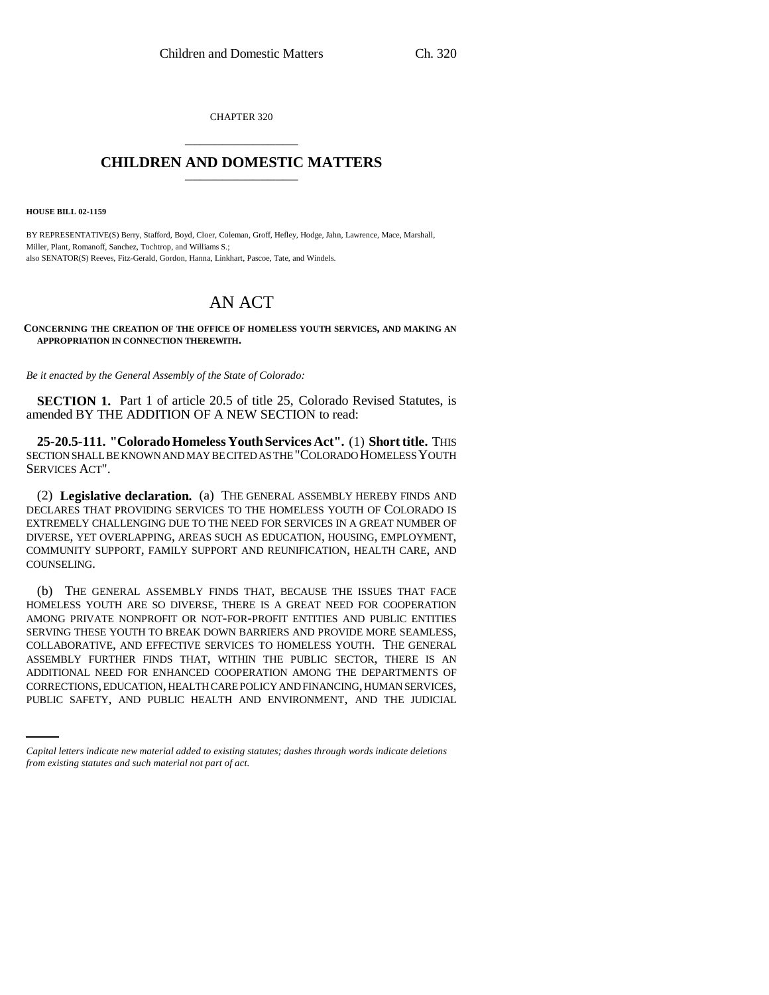CHAPTER 320 \_\_\_\_\_\_\_\_\_\_\_\_\_\_\_

## **CHILDREN AND DOMESTIC MATTERS** \_\_\_\_\_\_\_\_\_\_\_\_\_\_\_

**HOUSE BILL 02-1159**

BY REPRESENTATIVE(S) Berry, Stafford, Boyd, Cloer, Coleman, Groff, Hefley, Hodge, Jahn, Lawrence, Mace, Marshall, Miller, Plant, Romanoff, Sanchez, Tochtrop, and Williams S.; also SENATOR(S) Reeves, Fitz-Gerald, Gordon, Hanna, Linkhart, Pascoe, Tate, and Windels.

## AN ACT

**CONCERNING THE CREATION OF THE OFFICE OF HOMELESS YOUTH SERVICES, AND MAKING AN APPROPRIATION IN CONNECTION THEREWITH.**

*Be it enacted by the General Assembly of the State of Colorado:*

**SECTION 1.** Part 1 of article 20.5 of title 25, Colorado Revised Statutes, is amended BY THE ADDITION OF A NEW SECTION to read:

**25-20.5-111. "Colorado Homeless Youth Services Act".** (1) **Short title.** THIS SECTION SHALL BE KNOWN AND MAY BE CITED AS THE "COLORADO HOMELESS YOUTH SERVICES ACT".

(2) **Legislative declaration.** (a) THE GENERAL ASSEMBLY HEREBY FINDS AND DECLARES THAT PROVIDING SERVICES TO THE HOMELESS YOUTH OF COLORADO IS EXTREMELY CHALLENGING DUE TO THE NEED FOR SERVICES IN A GREAT NUMBER OF DIVERSE, YET OVERLAPPING, AREAS SUCH AS EDUCATION, HOUSING, EMPLOYMENT, COMMUNITY SUPPORT, FAMILY SUPPORT AND REUNIFICATION, HEALTH CARE, AND COUNSELING.

ADDITIONAL NEED FOR ENHANCED COOPERATION AMONG THE DEPARTMENTS OF (b) THE GENERAL ASSEMBLY FINDS THAT, BECAUSE THE ISSUES THAT FACE HOMELESS YOUTH ARE SO DIVERSE, THERE IS A GREAT NEED FOR COOPERATION AMONG PRIVATE NONPROFIT OR NOT-FOR-PROFIT ENTITIES AND PUBLIC ENTITIES SERVING THESE YOUTH TO BREAK DOWN BARRIERS AND PROVIDE MORE SEAMLESS, COLLABORATIVE, AND EFFECTIVE SERVICES TO HOMELESS YOUTH. THE GENERAL ASSEMBLY FURTHER FINDS THAT, WITHIN THE PUBLIC SECTOR, THERE IS AN CORRECTIONS, EDUCATION, HEALTH CARE POLICY AND FINANCING, HUMAN SERVICES, PUBLIC SAFETY, AND PUBLIC HEALTH AND ENVIRONMENT, AND THE JUDICIAL

*Capital letters indicate new material added to existing statutes; dashes through words indicate deletions from existing statutes and such material not part of act.*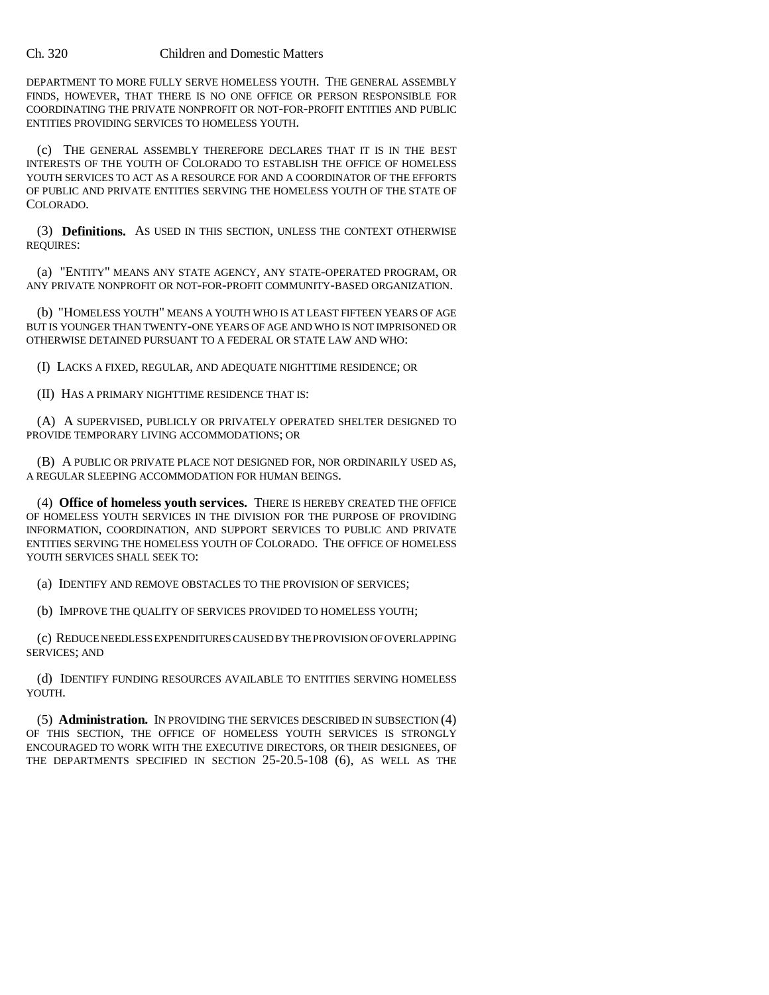## Ch. 320 Children and Domestic Matters

DEPARTMENT TO MORE FULLY SERVE HOMELESS YOUTH. THE GENERAL ASSEMBLY FINDS, HOWEVER, THAT THERE IS NO ONE OFFICE OR PERSON RESPONSIBLE FOR COORDINATING THE PRIVATE NONPROFIT OR NOT-FOR-PROFIT ENTITIES AND PUBLIC ENTITIES PROVIDING SERVICES TO HOMELESS YOUTH.

(c) THE GENERAL ASSEMBLY THEREFORE DECLARES THAT IT IS IN THE BEST INTERESTS OF THE YOUTH OF COLORADO TO ESTABLISH THE OFFICE OF HOMELESS YOUTH SERVICES TO ACT AS A RESOURCE FOR AND A COORDINATOR OF THE EFFORTS OF PUBLIC AND PRIVATE ENTITIES SERVING THE HOMELESS YOUTH OF THE STATE OF COLORADO.

(3) **Definitions.** AS USED IN THIS SECTION, UNLESS THE CONTEXT OTHERWISE REQUIRES:

(a) "ENTITY" MEANS ANY STATE AGENCY, ANY STATE-OPERATED PROGRAM, OR ANY PRIVATE NONPROFIT OR NOT-FOR-PROFIT COMMUNITY-BASED ORGANIZATION.

(b) "HOMELESS YOUTH" MEANS A YOUTH WHO IS AT LEAST FIFTEEN YEARS OF AGE BUT IS YOUNGER THAN TWENTY-ONE YEARS OF AGE AND WHO IS NOT IMPRISONED OR OTHERWISE DETAINED PURSUANT TO A FEDERAL OR STATE LAW AND WHO:

(I) LACKS A FIXED, REGULAR, AND ADEQUATE NIGHTTIME RESIDENCE; OR

(II) HAS A PRIMARY NIGHTTIME RESIDENCE THAT IS:

(A) A SUPERVISED, PUBLICLY OR PRIVATELY OPERATED SHELTER DESIGNED TO PROVIDE TEMPORARY LIVING ACCOMMODATIONS; OR

(B) A PUBLIC OR PRIVATE PLACE NOT DESIGNED FOR, NOR ORDINARILY USED AS, A REGULAR SLEEPING ACCOMMODATION FOR HUMAN BEINGS.

(4) **Office of homeless youth services.** THERE IS HEREBY CREATED THE OFFICE OF HOMELESS YOUTH SERVICES IN THE DIVISION FOR THE PURPOSE OF PROVIDING INFORMATION, COORDINATION, AND SUPPORT SERVICES TO PUBLIC AND PRIVATE ENTITIES SERVING THE HOMELESS YOUTH OF COLORADO. THE OFFICE OF HOMELESS YOUTH SERVICES SHALL SEEK TO:

(a) IDENTIFY AND REMOVE OBSTACLES TO THE PROVISION OF SERVICES;

(b) IMPROVE THE QUALITY OF SERVICES PROVIDED TO HOMELESS YOUTH;

(c) REDUCE NEEDLESS EXPENDITURES CAUSED BY THE PROVISION OF OVERLAPPING SERVICES; AND

(d) IDENTIFY FUNDING RESOURCES AVAILABLE TO ENTITIES SERVING HOMELESS YOUTH.

(5) **Administration.** IN PROVIDING THE SERVICES DESCRIBED IN SUBSECTION (4) OF THIS SECTION, THE OFFICE OF HOMELESS YOUTH SERVICES IS STRONGLY ENCOURAGED TO WORK WITH THE EXECUTIVE DIRECTORS, OR THEIR DESIGNEES, OF THE DEPARTMENTS SPECIFIED IN SECTION 25-20.5-108 (6), AS WELL AS THE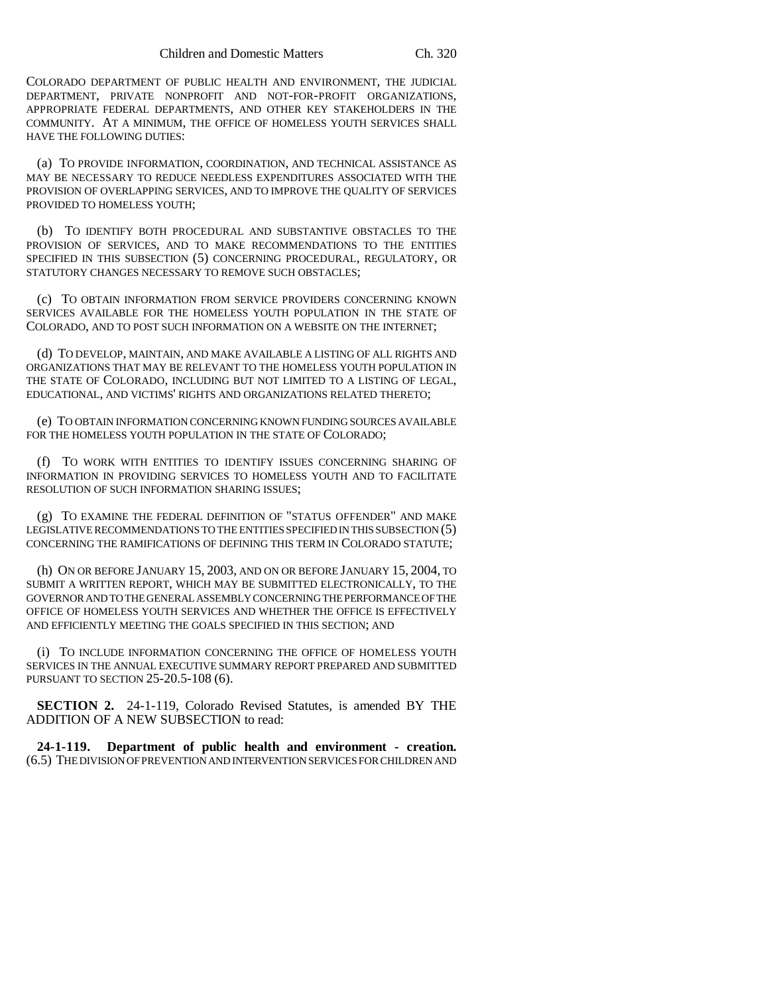COLORADO DEPARTMENT OF PUBLIC HEALTH AND ENVIRONMENT, THE JUDICIAL DEPARTMENT, PRIVATE NONPROFIT AND NOT-FOR-PROFIT ORGANIZATIONS, APPROPRIATE FEDERAL DEPARTMENTS, AND OTHER KEY STAKEHOLDERS IN THE COMMUNITY. AT A MINIMUM, THE OFFICE OF HOMELESS YOUTH SERVICES SHALL HAVE THE FOLLOWING DUTIES:

(a) TO PROVIDE INFORMATION, COORDINATION, AND TECHNICAL ASSISTANCE AS MAY BE NECESSARY TO REDUCE NEEDLESS EXPENDITURES ASSOCIATED WITH THE PROVISION OF OVERLAPPING SERVICES, AND TO IMPROVE THE QUALITY OF SERVICES PROVIDED TO HOMELESS YOUTH;

(b) TO IDENTIFY BOTH PROCEDURAL AND SUBSTANTIVE OBSTACLES TO THE PROVISION OF SERVICES, AND TO MAKE RECOMMENDATIONS TO THE ENTITIES SPECIFIED IN THIS SUBSECTION (5) CONCERNING PROCEDURAL, REGULATORY, OR STATUTORY CHANGES NECESSARY TO REMOVE SUCH OBSTACLES;

(c) TO OBTAIN INFORMATION FROM SERVICE PROVIDERS CONCERNING KNOWN SERVICES AVAILABLE FOR THE HOMELESS YOUTH POPULATION IN THE STATE OF COLORADO, AND TO POST SUCH INFORMATION ON A WEBSITE ON THE INTERNET;

(d) TO DEVELOP, MAINTAIN, AND MAKE AVAILABLE A LISTING OF ALL RIGHTS AND ORGANIZATIONS THAT MAY BE RELEVANT TO THE HOMELESS YOUTH POPULATION IN THE STATE OF COLORADO, INCLUDING BUT NOT LIMITED TO A LISTING OF LEGAL, EDUCATIONAL, AND VICTIMS' RIGHTS AND ORGANIZATIONS RELATED THERETO;

(e) TO OBTAIN INFORMATION CONCERNING KNOWN FUNDING SOURCES AVAILABLE FOR THE HOMELESS YOUTH POPULATION IN THE STATE OF COLORADO:

(f) TO WORK WITH ENTITIES TO IDENTIFY ISSUES CONCERNING SHARING OF INFORMATION IN PROVIDING SERVICES TO HOMELESS YOUTH AND TO FACILITATE RESOLUTION OF SUCH INFORMATION SHARING ISSUES;

(g) TO EXAMINE THE FEDERAL DEFINITION OF "STATUS OFFENDER" AND MAKE LEGISLATIVE RECOMMENDATIONS TO THE ENTITIES SPECIFIED IN THIS SUBSECTION (5) CONCERNING THE RAMIFICATIONS OF DEFINING THIS TERM IN COLORADO STATUTE;

(h) ON OR BEFORE JANUARY 15, 2003, AND ON OR BEFORE JANUARY 15, 2004, TO SUBMIT A WRITTEN REPORT, WHICH MAY BE SUBMITTED ELECTRONICALLY, TO THE GOVERNOR AND TO THE GENERAL ASSEMBLY CONCERNING THE PERFORMANCE OF THE OFFICE OF HOMELESS YOUTH SERVICES AND WHETHER THE OFFICE IS EFFECTIVELY AND EFFICIENTLY MEETING THE GOALS SPECIFIED IN THIS SECTION; AND

(i) TO INCLUDE INFORMATION CONCERNING THE OFFICE OF HOMELESS YOUTH SERVICES IN THE ANNUAL EXECUTIVE SUMMARY REPORT PREPARED AND SUBMITTED PURSUANT TO SECTION 25-20.5-108 (6).

**SECTION 2.** 24-1-119, Colorado Revised Statutes, is amended BY THE ADDITION OF A NEW SUBSECTION to read:

**24-1-119. Department of public health and environment - creation.** (6.5) THE DIVISION OF PREVENTION AND INTERVENTION SERVICES FOR CHILDREN AND